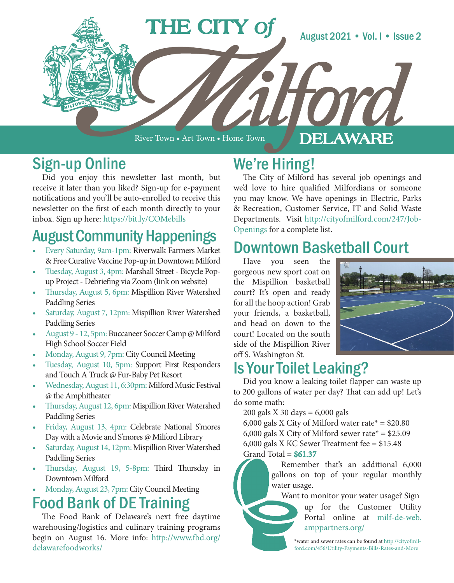

River Town • Art Town • Home Town

#### DELAWARE

### Sign-up Online

Did you enjoy this newsletter last month, but receive it later than you liked? Sign-up for e-payment notifications and you'll be auto-enrolled to receive this newsletter on the first of each month directly to your inbox. Sign up here: https://bit.ly/COMebills

# August Community Happenings

- Every Saturday, 9am-1pm: Riverwalk Farmers Market & Free Curative Vaccine Pop-up in Downtown Milford
- Tuesday, August 3, 4pm: Marshall Street Bicycle Popup Project - Debriefing via Zoom (link on website)
- Thursday, August 5, 6pm: Mispillion River Watershed Paddling Series
- Saturday, August 7, 12pm: Mispillion River Watershed Paddling Series
- August 9 12, 5pm: Buccaneer Soccer Camp @ Milford High School Soccer Field
- Monday, August 9, 7pm: City Council Meeting
- Tuesday, August 10, 5pm: Support First Responders and Touch A Truck @ Fur-Baby Pet Resort
- Wednesday, August 11, 6:30pm: Milford Music Festival @ the Amphitheater
- Thursday, August 12, 6pm: Mispillion River Watershed Paddling Series
- Friday, August 13, 4pm: Celebrate National S'mores Day with a Movie and S'mores @ Milford Library
- Saturday, August 14, 12pm: Mispillion River Watershed Paddling Series
- Thursday, August 19, 5-8pm: Third Thursday in Downtown Milford
- Monday, August 23, 7pm: City Council Meeting

### Food Bank of DE Training

The Food Bank of Delaware's next free daytime warehousing/logistics and culinary training programs begin on August 16. More info: http://www.fbd.org/ delawarefoodworks/

## We're Hiring!

The City of Milford has several job openings and we'd love to hire qualified Milfordians or someone you may know. We have openings in Electric, Parks & Recreation, Customer Service, IT and Solid Waste Departments. Visit http://cityofmilford.com/247/Job-Openings for a complete list.

### Downtown Basketball Court

Have you seen the gorgeous new sport coat on the Mispillion basketball court? It's open and ready for all the hoop action! Grab your friends, a basketball, and head on down to the court! Located on the south side of the Mispillion River off S. Washington St.



## Is Your Toilet Leaking?

Did you know a leaking toilet flapper can waste up to 200 gallons of water per day? That can add up! Let's do some math:

200 gals X 30 days = 6,000 gals

6,000 gals X City of Milford water rate\* =  $$20.80$ 6,000 gals X City of Milford sewer rate\* =  $$25.09$ 6,000 gals X KC Sewer Treatment fee = \$15.48 Grand Total =  $$61.37$ 

> Remember that's an additional 6,000 gallons on top of your regular monthly water usage.

Want to monitor your water usage? Sign

up for the Customer Utility Portal online at milf-de-web. amppartners.org/

\*water and sewer rates can be found at http://cityofmilford.com/456/Utility-Payments-Bills-Rates-and-More